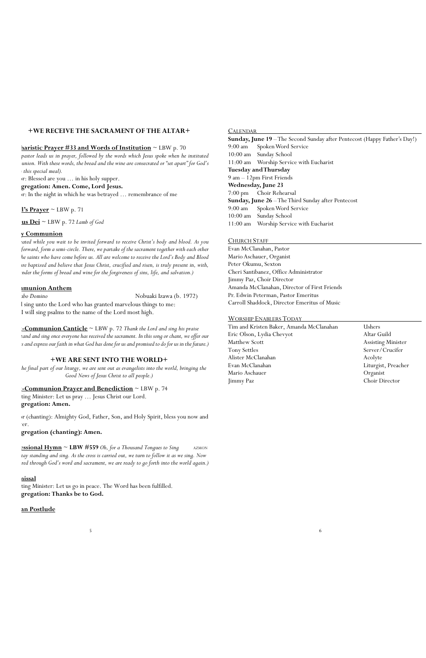# **+WE RECEIVE THE SACRAMENT OF THE ALTAR+**

#### **haristic Prayer #33 and Words of Institution** ~ LBW p. 70

pastor leads us in prayer, followed by the words which Jesus spoke when he instituted *communion. With these words, the bread and the wine are consecrated or "set apart" for God's u* this special meal).

pr: Blessed are you ... in his holy supper.

#### **Congregation: Amen. Come, Lord Jesus.**

pr: In the night in which he was betrayed ... remembrance of me

### $**l**'s Prayer  $\sim$  LBW p. 71$ </u>

 $\underline{\mathbf{u}}$ **s**  $\underline{\mathbf{D}}$ **ei**  $\sim$  LBW p. 72 *Lamb of God* 

# **y** Communion

*(Be seated while you wait to be invited forward to receive Christ's body and blood. As you* forward, form a semi-circle. There, we partake of the sacrament together with each other *and the saints who have come before us. All are welcome to receive the Lord's Body and Blood who are baptized and believe that Jesus Christ, crucified and risen, is truly present in, with, and under the forms of bread and wine for the forgiveness of sins, life, and salvation.)*

#### **communion Anthem**

ting Minister: Let us pray ... Jesus Christ our Lord. **Congregation: Amen.**

or (chanting): Almighty God, Father, Son, and Holy Spirit, bless you now and er.

*Cantabo Domino* Nobuaki Izawa (b. 1972)

 $\frac{1}{5}$  6

I sing unto the Lord who has granted marvelous things to me: I will sing psalms to the name of the Lord most high.

**<u>-Communion Canticle</u>** ~ LBW p. 72 *Thank the Lord and sing his praise* tand and sing once everyone has received the sacrament. In this song or chant, we offer our *ts and express our faith in what God has done for us and promised to do for us in the future.)* 

ting Minister: Let us go in peace. The Word has been fulfilled. **Congregation: Thanks be to God.**

### an Postlude

# **+WE ARE SENT INTO THE WORLD+**

*(In the final part of our liturgy, we are sent out as evangelists into the world, bringing the Good News of Jesus Christ to all people.)*

#### **Post-Communion Prayer and Benediction** ~ LBW p. 74

# **Congregation (chanting): Amen.**

**<u>Essional Hymn</u>** ~ **LBW #559** *Oh, for a Thousand Tongues to Sing* AZMON tay standing and sing. As the cross is carried out, we turn to follow it as we sing. Now red through God's word and sacrament, we are ready to go forth into the world again.)

#### CALENDAR

**Sunday, June 19** –The Second Sunday after Pentecost (Happy Father's Day!) 9:00 am Spoken Word Service 10:00 am Sunday School 11:00 am Worship Service with Eucharist **Tuesday and Thursday** 9 am – 12pm First Friends **Wednesday, June 23** 7:00 pm Choir Rehearsal **Sunday, June 26** –The Third Sunday after Pentecost 9:00 am Spoken Word Service 10:00 am Sunday School 11:00 am Worship Service with Eucharist

#### CHURCH STAFF

Evan McClanahan, Pastor Mario Aschauer, Organist Peter Okumu, Sexton Cheri Santibanez, Office Administrator Jimmy Paz, Choir Director Amanda McClanahan, Director of First Friends Pr. Edwin Peterman, Pastor Emeritus Carroll Shaddock, Director Emeritus of Music

#### WORSHIP ENABLERS TODAY

Tim and Kristen Baker, Amanda McClanahan Ushers Eric Olson, Lydia Chevyot Altar Guild Matthew Scott **Assisting Minister** Tony Settles Server/Crucifer Alister McClanahan Acolyte Evan McClanahan Liturgist, Preacher Mario Aschauer Organist Jimmy Paz Choir Director